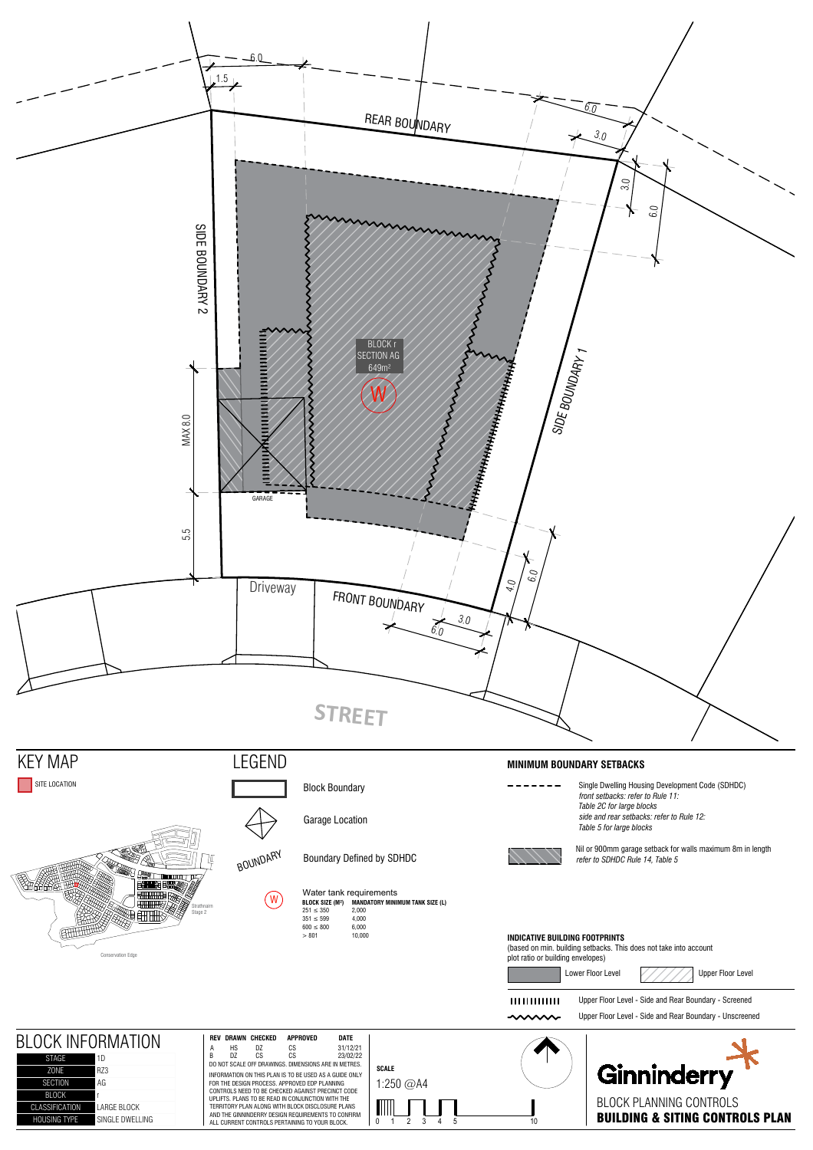